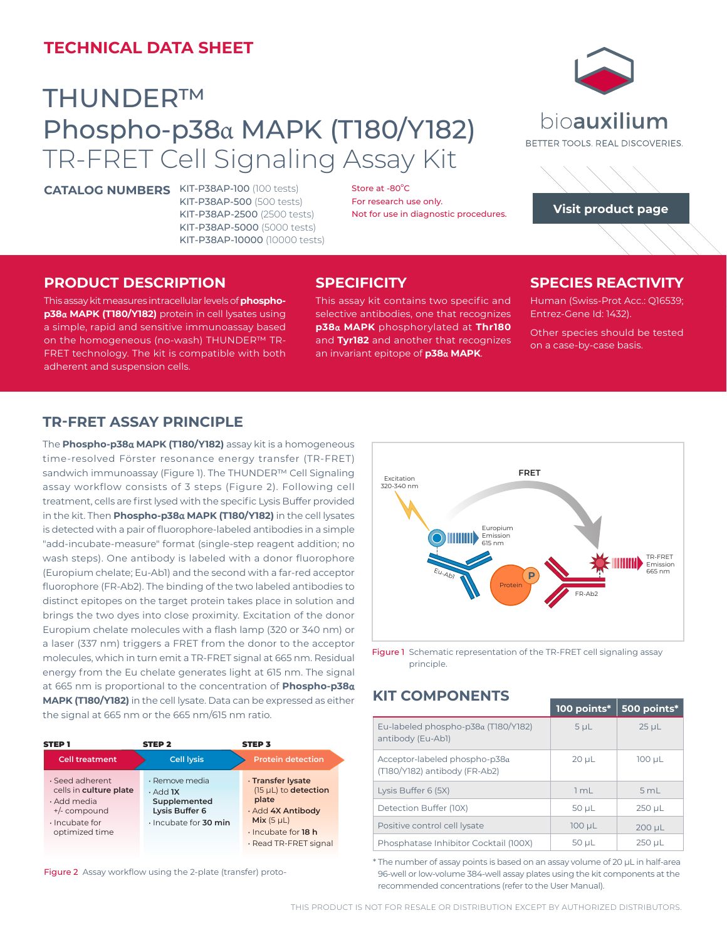# **TECHNICAL DATA SHEET**

# THUNDER™ Phospho-p38α MAPK (T180/Y182) TR-FRET Cell Signaling Assay Kit

**CATALOG NUMBERS** KIT-P38AP-100 (100 tests)

KIT-P38AP-500 (500 tests) KIT-P38AP-2500 (2500 tests) KIT-P38AP-5000 (5000 tests) KIT-P38AP-10000 (10000 tests)

bioauxilium BETTER TOOLS, REAL DISCOVERIES.



#### **PRODUCT DESCRIPTION**

This assay kit measures intracellular levels of **phosphop38**α **MAPK (T180/Y182)** protein in cell lysates using a simple, rapid and sensitive immunoassay based on the homogeneous (no-wash) THUNDER™ TR-FRET technology. The kit is compatible with both **FRET** adherent and suspension cells.

#### **SPECIFICITY**

Store at  $-80^{\circ}$ C For research use only.

This assay kit contains two specific and selective antibodies, one that recognizes **p38**α **MAPK** phosphorylated at **Thr180**  and **Tyr182** and another that recognizes an invariant epitope of **p38**α **MAPK**.

Not for use in diagnostic procedures.

# **SPECIES REACTIVITY**

Human (Swiss-Prot Acc.: Q16539; Entrez-Gene Id: 1432).

Other species should be tested on a case-by-case basis.

#### TR-FRET ASSAY PRINCIPLE

Emission 615 nm The **Phospho-p38**α **MAPK (T180/Y182)** assay kit is a homogeneous sis Du Eu-Ab1 **P** assay workflow consists of 3 steps (Figure 2). Following cell treatment, cells are first lysed with the specific Lysis Buffer provided time-resolved Förster resonance energy transfer (TR-FRET) sandwich immunoassay (Figure 1). The THUNDER™ Cell Signaling in the kit. Then **Phospho-p38**α **MAPK (T180/Y182)** in the cell lysates is detected with a pair of fluorophore-labeled antibodies in a simple "add-incubate-measure" format (single-step reagent addition; no wash steps). One antibody is labeled with a donor fluorophore (Europium chelate; Eu-Ab1) and the second with a far-red acceptor fluorophore (FR-Ab2). The binding of the two labeled antibodies to distinct epitopes on the target protein takes place in solution and brings the two dyes into close proximity. Excitation of the donor Europium chelate molecules with a flash lamp (320 or 340 nm) or a laser (337 nm) triggers a FRET from the donor to the acceptor molecules, which in turn emit a TR-FRET signal at 665 nm. Residual energy from the Eu chelate generates light at 615 nm. The signal at 665 nm is proportional to the concentration of **Phospho-p38**α **MAPK (T180/Y182)** in the cell lysate. Data can be expressed as either the signal at 665 nm or the 665 nm/615 nm ratio.

| <b>STEP1</b>                                                                                                               | <b>STEP 2</b>                                                                                      | <b>STEP 3</b>                                                                                                                                   |  |
|----------------------------------------------------------------------------------------------------------------------------|----------------------------------------------------------------------------------------------------|-------------------------------------------------------------------------------------------------------------------------------------------------|--|
| <b>Cell treatment</b>                                                                                                      | <b>Cell lysis</b>                                                                                  | <b>Protein detection</b>                                                                                                                        |  |
| $\cdot$ Seed adherent<br>cells in culture plate<br>· Add media<br>$+/-$ compound<br>$\cdot$ Incubate for<br>optimized time | · Remove media<br>$\cdot$ Add <b>1X</b><br>Supplemented<br>Lysis Buffer 6<br>· Incubate for 30 min | · Transfer lysate<br>$(15 \mu L)$ to detection<br>plate<br>· Add 4X Antibody<br>Mix(5 µL)<br>$\cdot$ Incubate for 18 h<br>· Read TR-FRET signal |  |

Figure 2 Assay workflow using the 2-plate (transfer) proto-



Figure 1 Schematic representation of the TR-FRET cell signaling assay principle.

## **KIT COMPONENTS**

|                                                                   | 100 points*    | 500 points* |
|-------------------------------------------------------------------|----------------|-------------|
| Eu-labeled phospho-p38α (T180/Y182)<br>antibody (Eu-Abl)          | 5 <sub>µ</sub> | $25 \mu L$  |
| Acceptor-labeled phospho-p $38a$<br>(T180/Y182) antibody (FR-Ab2) | $20 \mu L$     | $100 \mu L$ |
| Lysis Buffer 6 (5X)                                               | 1mL            | 5 mL        |
| Detection Buffer (10X)                                            | $50 \mu L$     | $250 \mu L$ |
| Positive control cell lysate                                      | $100 \mu L$    | $200 \mu L$ |
| Phosphatase Inhibitor Cocktail (100X)                             | 50 µL          | $250 \mu L$ |

 **Mix** (5 µL) \* The number of assay points is based on an assay volume of 20 μL in half-area 96-well or low-volume 384-well assay plates using the kit components at the recommended concentrations (refer to the User Manual).